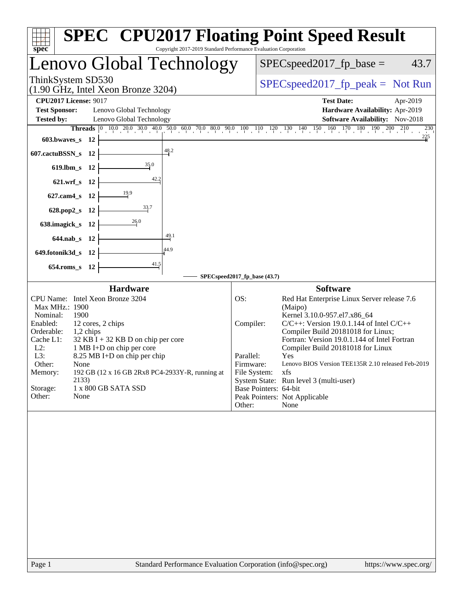| Copyright 2017-2019 Standard Performance Evaluation Corporation<br>spec <sup>®</sup>                                                                                                                                                                                                                                                                                                                                                   | <b>SPEC<sup>®</sup></b> CPU2017 Floating Point Speed Result                                                                                                                                                                                                                                                                                                                                                                                                                                                                                   |
|----------------------------------------------------------------------------------------------------------------------------------------------------------------------------------------------------------------------------------------------------------------------------------------------------------------------------------------------------------------------------------------------------------------------------------------|-----------------------------------------------------------------------------------------------------------------------------------------------------------------------------------------------------------------------------------------------------------------------------------------------------------------------------------------------------------------------------------------------------------------------------------------------------------------------------------------------------------------------------------------------|
| Lenovo Global Technology                                                                                                                                                                                                                                                                                                                                                                                                               | $SPEC speed2017_fp\_base =$<br>43.7                                                                                                                                                                                                                                                                                                                                                                                                                                                                                                           |
| ThinkSystem SD530<br>$(1.90 \text{ GHz}, \text{Intel Xeon Bronze } 3204)$                                                                                                                                                                                                                                                                                                                                                              | $SPEC speed2017_fp\_peak = Not Run$                                                                                                                                                                                                                                                                                                                                                                                                                                                                                                           |
| <b>CPU2017 License: 9017</b><br><b>Test Sponsor:</b><br>Lenovo Global Technology<br><b>Tested by:</b><br>Lenovo Global Technology<br>$603.bwaves$ 12<br>48.2<br>607.cactuBSSN_s 12<br>35.0<br>619.lbm_s 12<br>42.2<br>621.wrf_s 12<br>627.cam4_s 12<br>$\frac{33.7}{2}$<br>628.pop2_s 12<br>26.0<br>638.imagick_s 12<br>49.1<br>644.nab_s 12<br>44.9<br>649.fotonik3d_s 12<br>$\frac{41.5}{2}$<br>654.roms_s 12                        | <b>Test Date:</b><br>Apr-2019<br>Hardware Availability: Apr-2019<br>Software Availability: Nov-2018<br><b>Threads</b> 0 10.0 20.0 30.0 40.0 50.0 60.0 70.0 80.0 90.0 100 110 120 130 140 150 160 170 180 190 200 210<br>$^{230}$<br>225                                                                                                                                                                                                                                                                                                       |
|                                                                                                                                                                                                                                                                                                                                                                                                                                        | SPECspeed2017_fp_base (43.7)                                                                                                                                                                                                                                                                                                                                                                                                                                                                                                                  |
| <b>Hardware</b><br>CPU Name: Intel Xeon Bronze 3204<br>Max MHz.: 1900<br>Nominal:<br>1900<br>Enabled:<br>12 cores, 2 chips<br>Orderable:<br>1,2 chips<br>Cache L1:<br>$32$ KB I + 32 KB D on chip per core<br>$L2$ :<br>1 MB I+D on chip per core<br>L3:<br>8.25 MB I+D on chip per chip<br>Other:<br>None<br>192 GB (12 x 16 GB 2Rx8 PC4-2933Y-R, running at<br>Memory:<br>2133)<br>Storage:<br>1 x 800 GB SATA SSD<br>Other:<br>None | <b>Software</b><br>OS:<br>Red Hat Enterprise Linux Server release 7.6<br>(Maipo)<br>Kernel 3.10.0-957.el7.x86_64<br>Compiler:<br>$C/C++$ : Version 19.0.1.144 of Intel $C/C++$<br>Compiler Build 20181018 for Linux;<br>Fortran: Version 19.0.1.144 of Intel Fortran<br>Compiler Build 20181018 for Linux<br>Parallel:<br>Yes<br>Firmware:<br>Lenovo BIOS Version TEE135R 2.10 released Feb-2019<br>File System:<br>xfs<br>System State: Run level 3 (multi-user)<br>Base Pointers: 64-bit<br>Peak Pointers: Not Applicable<br>Other:<br>None |
|                                                                                                                                                                                                                                                                                                                                                                                                                                        |                                                                                                                                                                                                                                                                                                                                                                                                                                                                                                                                               |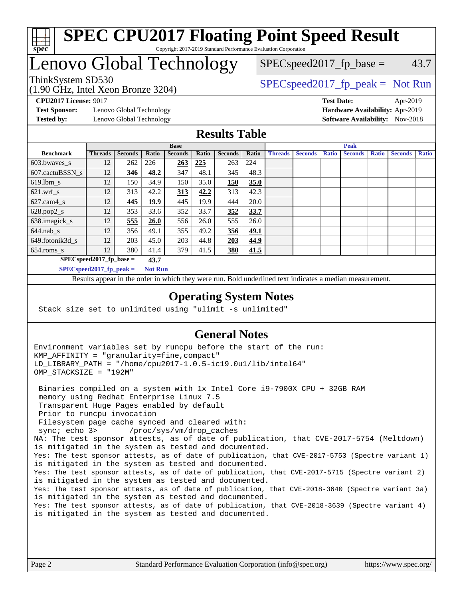

#### **[SPEC CPU2017 Floating Point Speed Result](http://www.spec.org/auto/cpu2017/Docs/result-fields.html#SPECCPU2017FloatingPointSpeedResult)** Copyright 2017-2019 Standard Performance Evaluation Corporation

# Lenovo Global Technology

# (1.90 GHz, Intel Xeon Bronze 3204)

ThinkSystem SD530  $SPEC speed2017$  [p\_peak = Not Run

**[Test Sponsor:](http://www.spec.org/auto/cpu2017/Docs/result-fields.html#TestSponsor)** Lenovo Global Technology **[Hardware Availability:](http://www.spec.org/auto/cpu2017/Docs/result-fields.html#HardwareAvailability)** Apr-2019 **[Tested by:](http://www.spec.org/auto/cpu2017/Docs/result-fields.html#Testedby)** Lenovo Global Technology **[Software Availability:](http://www.spec.org/auto/cpu2017/Docs/result-fields.html#SoftwareAvailability)** Nov-2018

**[CPU2017 License:](http://www.spec.org/auto/cpu2017/Docs/result-fields.html#CPU2017License)** 9017 **[Test Date:](http://www.spec.org/auto/cpu2017/Docs/result-fields.html#TestDate)** Apr-2019

 $SPEC speed2017_fp\_base = 43.7$ 

#### **[Results Table](http://www.spec.org/auto/cpu2017/Docs/result-fields.html#ResultsTable)**

|                                    | <b>Base</b>    |                |                |                |       | <b>Peak</b>    |             |                |                |              |                |              |                |              |
|------------------------------------|----------------|----------------|----------------|----------------|-------|----------------|-------------|----------------|----------------|--------------|----------------|--------------|----------------|--------------|
| <b>Benchmark</b>                   | <b>Threads</b> | <b>Seconds</b> | Ratio          | <b>Seconds</b> | Ratio | <b>Seconds</b> | Ratio       | <b>Threads</b> | <b>Seconds</b> | <b>Ratio</b> | <b>Seconds</b> | <b>Ratio</b> | <b>Seconds</b> | <b>Ratio</b> |
| 603.bwayes s                       | 12             | 262            | 226            | 263            | 225   | 263            | 224         |                |                |              |                |              |                |              |
| 607.cactuBSSN s                    | 12             | 346            | 48.2           | 347            | 48.1  | 345            | 48.3        |                |                |              |                |              |                |              |
| $619.$ lbm s                       | 12             | 150            | 34.9           | 150            | 35.0  | 150            | 35.0        |                |                |              |                |              |                |              |
| $621.wrf$ s                        | 12             | 313            | 42.2           | <u>313</u>     | 42.2  | 313            | 42.3        |                |                |              |                |              |                |              |
| $627$ .cam $4 \text{ s}$           | 12             | 445            | 19.9           | 445            | 19.9  | 444            | 20.0        |                |                |              |                |              |                |              |
| $628.pop2_s$                       | 12             | 353            | 33.6           | 352            | 33.7  | 352            | 33.7        |                |                |              |                |              |                |              |
| 638.imagick_s                      | 12             | 555            | <b>26.0</b>    | 556            | 26.0  | 555            | 26.0        |                |                |              |                |              |                |              |
| $644$ .nab s                       | 12             | 356            | 49.1           | 355            | 49.2  | 356            | <u>49.1</u> |                |                |              |                |              |                |              |
| 649.fotonik3d s                    | 12             | 203            | 45.0           | 203            | 44.8  | 203            | 44.9        |                |                |              |                |              |                |              |
| $654$ .roms s                      | 12             | 380            | 41.4           | 379            | 41.5  | <b>380</b>     | 41.5        |                |                |              |                |              |                |              |
| $SPECspeed2017_fp\_base =$<br>43.7 |                |                |                |                |       |                |             |                |                |              |                |              |                |              |
| $SPECspeed2017_fp\_peak =$         |                |                | <b>Not Run</b> |                |       |                |             |                |                |              |                |              |                |              |

Results appear in the [order in which they were run.](http://www.spec.org/auto/cpu2017/Docs/result-fields.html#RunOrder) Bold underlined text [indicates a median measurement](http://www.spec.org/auto/cpu2017/Docs/result-fields.html#Median).

#### **[Operating System Notes](http://www.spec.org/auto/cpu2017/Docs/result-fields.html#OperatingSystemNotes)**

Stack size set to unlimited using "ulimit -s unlimited"

#### **[General Notes](http://www.spec.org/auto/cpu2017/Docs/result-fields.html#GeneralNotes)**

Environment variables set by runcpu before the start of the run: KMP\_AFFINITY = "granularity=fine,compact" LD\_LIBRARY\_PATH = "/home/cpu2017-1.0.5-ic19.0u1/lib/intel64" OMP\_STACKSIZE = "192M"

 Binaries compiled on a system with 1x Intel Core i9-7900X CPU + 32GB RAM memory using Redhat Enterprise Linux 7.5 Transparent Huge Pages enabled by default Prior to runcpu invocation Filesystem page cache synced and cleared with: sync; echo 3> /proc/sys/vm/drop\_caches NA: The test sponsor attests, as of date of publication, that CVE-2017-5754 (Meltdown) is mitigated in the system as tested and documented. Yes: The test sponsor attests, as of date of publication, that CVE-2017-5753 (Spectre variant 1) is mitigated in the system as tested and documented. Yes: The test sponsor attests, as of date of publication, that CVE-2017-5715 (Spectre variant 2) is mitigated in the system as tested and documented. Yes: The test sponsor attests, as of date of publication, that CVE-2018-3640 (Spectre variant 3a) is mitigated in the system as tested and documented. Yes: The test sponsor attests, as of date of publication, that CVE-2018-3639 (Spectre variant 4) is mitigated in the system as tested and documented.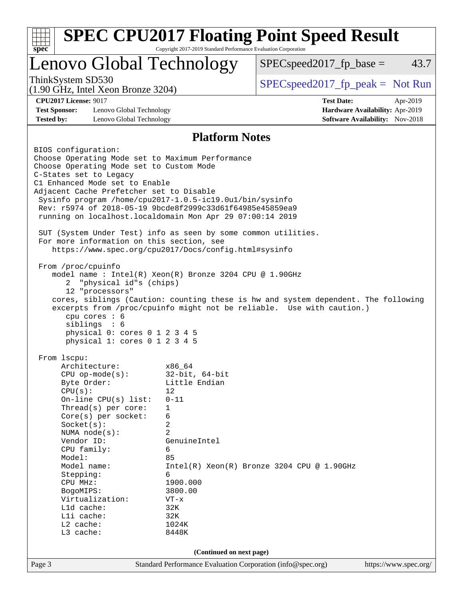| $spec^*$                                                                                                    | Copyright 2017-2019 Standard Performance Evaluation Corporation |                                                                                    |          |  |  |
|-------------------------------------------------------------------------------------------------------------|-----------------------------------------------------------------|------------------------------------------------------------------------------------|----------|--|--|
| Lenovo Global Technology                                                                                    |                                                                 | $SPEC speed2017fp base =$                                                          | 43.7     |  |  |
| ThinkSystem SD530<br>$(1.90 \text{ GHz}, \text{Intel Xeon Bronze } 3204)$                                   |                                                                 | $SPEC speed2017rfp peak = Not Run$                                                 |          |  |  |
| <b>CPU2017 License: 9017</b>                                                                                |                                                                 | <b>Test Date:</b>                                                                  | Apr-2019 |  |  |
| <b>Test Sponsor:</b><br>Lenovo Global Technology                                                            | Hardware Availability: Apr-2019                                 |                                                                                    |          |  |  |
| <b>Tested by:</b><br>Lenovo Global Technology                                                               |                                                                 | <b>Software Availability:</b> Nov-2018                                             |          |  |  |
| <b>Platform Notes</b>                                                                                       |                                                                 |                                                                                    |          |  |  |
| BIOS configuration:                                                                                         |                                                                 |                                                                                    |          |  |  |
| Choose Operating Mode set to Maximum Performance                                                            |                                                                 |                                                                                    |          |  |  |
| Choose Operating Mode set to Custom Mode                                                                    |                                                                 |                                                                                    |          |  |  |
| C-States set to Legacy                                                                                      |                                                                 |                                                                                    |          |  |  |
| C1 Enhanced Mode set to Enable<br>Adjacent Cache Prefetcher set to Disable                                  |                                                                 |                                                                                    |          |  |  |
| Sysinfo program /home/cpu2017-1.0.5-ic19.0ul/bin/sysinfo                                                    |                                                                 |                                                                                    |          |  |  |
| Rev: r5974 of 2018-05-19 9bcde8f2999c33d61f64985e45859ea9                                                   |                                                                 |                                                                                    |          |  |  |
| running on localhost.localdomain Mon Apr 29 07:00:14 2019                                                   |                                                                 |                                                                                    |          |  |  |
|                                                                                                             |                                                                 |                                                                                    |          |  |  |
| SUT (System Under Test) info as seen by some common utilities.<br>For more information on this section, see |                                                                 |                                                                                    |          |  |  |
| https://www.spec.org/cpu2017/Docs/config.html#sysinfo                                                       |                                                                 |                                                                                    |          |  |  |
|                                                                                                             |                                                                 |                                                                                    |          |  |  |
| From /proc/cpuinfo                                                                                          |                                                                 |                                                                                    |          |  |  |
| model name : Intel(R) Xeon(R) Bronze 3204 CPU @ 1.90GHz                                                     |                                                                 |                                                                                    |          |  |  |
| "physical id"s (chips)<br>2                                                                                 |                                                                 |                                                                                    |          |  |  |
| 12 "processors"                                                                                             |                                                                 |                                                                                    |          |  |  |
|                                                                                                             |                                                                 |                                                                                    |          |  |  |
|                                                                                                             |                                                                 | cores, siblings (Caution: counting these is hw and system dependent. The following |          |  |  |
|                                                                                                             |                                                                 | excerpts from /proc/cpuinfo might not be reliable. Use with caution.)              |          |  |  |
| cpu cores $: 6$                                                                                             |                                                                 |                                                                                    |          |  |  |
| siblings : 6                                                                                                |                                                                 |                                                                                    |          |  |  |
| physical 0: cores 0 1 2 3 4 5<br>physical 1: cores 0 1 2 3 4 5                                              |                                                                 |                                                                                    |          |  |  |
|                                                                                                             |                                                                 |                                                                                    |          |  |  |
| From 1scpu:                                                                                                 |                                                                 |                                                                                    |          |  |  |
| Architecture:                                                                                               | x86 64                                                          |                                                                                    |          |  |  |
| $CPU$ op-mode( $s$ ):                                                                                       | $32$ -bit, $64$ -bit                                            |                                                                                    |          |  |  |
| Byte Order:                                                                                                 | Little Endian<br>12                                             |                                                                                    |          |  |  |
| CPU(s):                                                                                                     | $0 - 11$                                                        |                                                                                    |          |  |  |
| On-line CPU(s) list:<br>Thread( $s$ ) per core:                                                             | 1                                                               |                                                                                    |          |  |  |
| $Core(s)$ per socket:                                                                                       | 6                                                               |                                                                                    |          |  |  |
| Socket(s):                                                                                                  | 2                                                               |                                                                                    |          |  |  |
| NUMA node(s):                                                                                               | 2                                                               |                                                                                    |          |  |  |
| Vendor ID:                                                                                                  | GenuineIntel                                                    |                                                                                    |          |  |  |
| CPU family:                                                                                                 | 6                                                               |                                                                                    |          |  |  |
| Model:                                                                                                      | 85                                                              |                                                                                    |          |  |  |
| Model name:                                                                                                 |                                                                 | $Intel(R) Xeon(R) Bronze 3204 CPU @ 1.90GHz$                                       |          |  |  |
| Stepping:                                                                                                   | 6                                                               |                                                                                    |          |  |  |
| CPU MHz:<br>BogoMIPS:                                                                                       | 1900.000<br>3800.00                                             |                                                                                    |          |  |  |
| Virtualization:                                                                                             | $VT - x$                                                        |                                                                                    |          |  |  |
| $L1d$ cache:                                                                                                | 32K                                                             |                                                                                    |          |  |  |
| Lli cache:                                                                                                  | 32K                                                             |                                                                                    |          |  |  |
| L2 cache:                                                                                                   | 1024K                                                           |                                                                                    |          |  |  |
| L3 cache:                                                                                                   | 8448K                                                           |                                                                                    |          |  |  |
|                                                                                                             | (Continued on next page)                                        |                                                                                    |          |  |  |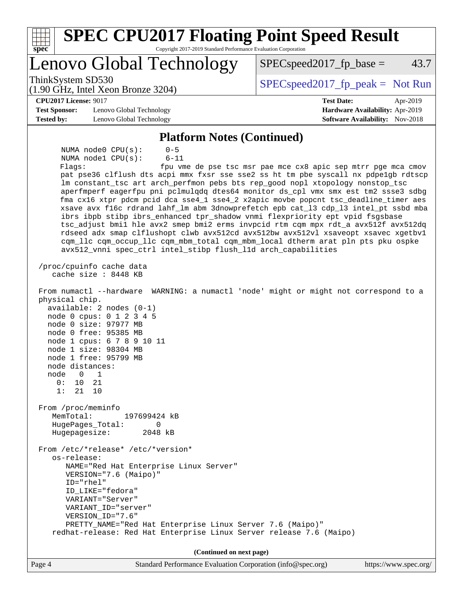| <b>SPEC CPU2017 Floating Point Speed Result</b>                                                                                                                                                                                                                                                                                                                                                                                                                                                                                                                                                                                                                                                                                                                                                                                                                                                                                        |                                                                                                     |
|----------------------------------------------------------------------------------------------------------------------------------------------------------------------------------------------------------------------------------------------------------------------------------------------------------------------------------------------------------------------------------------------------------------------------------------------------------------------------------------------------------------------------------------------------------------------------------------------------------------------------------------------------------------------------------------------------------------------------------------------------------------------------------------------------------------------------------------------------------------------------------------------------------------------------------------|-----------------------------------------------------------------------------------------------------|
| Copyright 2017-2019 Standard Performance Evaluation Corporation<br>spec                                                                                                                                                                                                                                                                                                                                                                                                                                                                                                                                                                                                                                                                                                                                                                                                                                                                |                                                                                                     |
| Lenovo Global Technology                                                                                                                                                                                                                                                                                                                                                                                                                                                                                                                                                                                                                                                                                                                                                                                                                                                                                                               | 43.7<br>$SPEC speed2017fp base =$                                                                   |
| ThinkSystem SD530<br>$(1.90 \text{ GHz}, \text{Intel Xeon Bronze } 3204)$                                                                                                                                                                                                                                                                                                                                                                                                                                                                                                                                                                                                                                                                                                                                                                                                                                                              | $SPEC speed2017_fp\_peak = Not Run$                                                                 |
| <b>CPU2017 License: 9017</b><br><b>Test Sponsor:</b><br>Lenovo Global Technology<br><b>Tested by:</b><br>Lenovo Global Technology                                                                                                                                                                                                                                                                                                                                                                                                                                                                                                                                                                                                                                                                                                                                                                                                      | <b>Test Date:</b><br>Apr-2019<br>Hardware Availability: Apr-2019<br>Software Availability: Nov-2018 |
| <b>Platform Notes (Continued)</b>                                                                                                                                                                                                                                                                                                                                                                                                                                                                                                                                                                                                                                                                                                                                                                                                                                                                                                      |                                                                                                     |
| NUMA node0 CPU(s):<br>$0 - 5$<br>$6 - 11$<br>NUMA nodel CPU(s):<br>Flags:<br>pat pse36 clflush dts acpi mmx fxsr sse sse2 ss ht tm pbe syscall nx pdpelgb rdtscp<br>lm constant_tsc art arch_perfmon pebs bts rep_good nopl xtopology nonstop_tsc<br>aperfmperf eagerfpu pni pclmulqdq dtes64 monitor ds_cpl vmx smx est tm2 ssse3 sdbg<br>fma cx16 xtpr pdcm pcid dca sse4_1 sse4_2 x2apic movbe popcnt tsc_deadline_timer aes<br>xsave avx f16c rdrand lahf_lm abm 3dnowprefetch epb cat_13 cdp_13 intel_pt ssbd mba<br>ibrs ibpb stibp ibrs_enhanced tpr_shadow vnmi flexpriority ept vpid fsgsbase<br>tsc_adjust bmil hle avx2 smep bmi2 erms invpcid rtm cqm mpx rdt_a avx512f avx512dq<br>rdseed adx smap clflushopt clwb avx512cd avx512bw avx512vl xsaveopt xsavec xgetbvl<br>cqm_llc cqm_occup_llc cqm_mbm_total cqm_mbm_local dtherm arat pln pts pku ospke<br>avx512_vnni spec_ctrl intel_stibp flush_lld arch_capabilities | fpu vme de pse tsc msr pae mce cx8 apic sep mtrr pge mca cmov                                       |
| /proc/cpuinfo cache data<br>cache size : 8448 KB<br>From numactl --hardware WARNING: a numactl 'node' might or might not correspond to a<br>physical chip.<br>$available: 2 nodes (0-1)$<br>node 0 cpus: 0 1 2 3 4 5<br>node 0 size: 97977 MB<br>node 0 free: 95385 MB<br>node 1 cpus: 6 7 8 9 10 11<br>node 1 size: 98304 MB<br>node 1 free: 95799 MB<br>node distances:<br>node<br>$\Omega$<br>$\overline{1}$<br>0: 10<br>21<br>1: 21 10<br>From /proc/meminfo<br>MemTotal:<br>197699424 kB<br>$\mathbf{0}$<br>HugePages_Total:<br>Hugepagesize:<br>2048 kB<br>From /etc/*release* /etc/*version*<br>os-release:<br>NAME="Red Hat Enterprise Linux Server"<br>VERSION="7.6 (Maipo)"<br>ID="rhel"<br>ID_LIKE="fedora"<br>VARIANT="Server"<br>VARIANT_ID="server"                                                                                                                                                                      |                                                                                                     |
| PRETTY_NAME="Red Hat Enterprise Linux Server 7.6 (Maipo)"<br>redhat-release: Red Hat Enterprise Linux Server release 7.6 (Maipo)                                                                                                                                                                                                                                                                                                                                                                                                                                                                                                                                                                                                                                                                                                                                                                                                       |                                                                                                     |
| (Continued on next page)                                                                                                                                                                                                                                                                                                                                                                                                                                                                                                                                                                                                                                                                                                                                                                                                                                                                                                               |                                                                                                     |

Page 4 Standard Performance Evaluation Corporation [\(info@spec.org\)](mailto:info@spec.org) <https://www.spec.org/>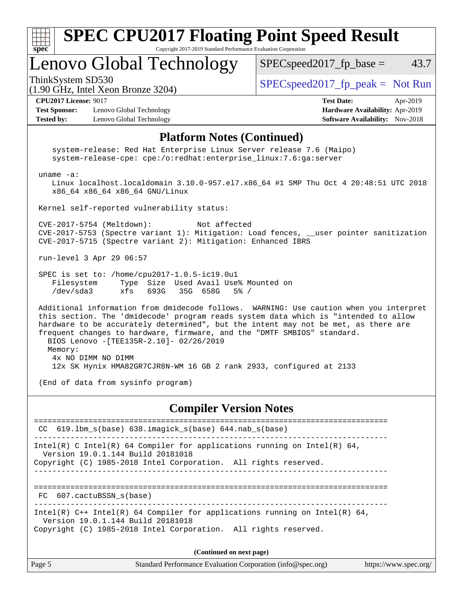| ×.<br>€<br>۰ |  |  |  |  |  |
|--------------|--|--|--|--|--|

#### **[SPEC CPU2017 Floating Point Speed Result](http://www.spec.org/auto/cpu2017/Docs/result-fields.html#SPECCPU2017FloatingPointSpeedResult)** Copyright 2017-2019 Standard Performance Evaluation Corporation

# Lenovo Global Technology

 $SPEC speed2017_fp\_base = 43.7$ 

(1.90 GHz, Intel Xeon Bronze 3204)

ThinkSystem SD530  $SPEC speed2017$  fp\_peak = Not Run

**[Test Sponsor:](http://www.spec.org/auto/cpu2017/Docs/result-fields.html#TestSponsor)** Lenovo Global Technology **[Hardware Availability:](http://www.spec.org/auto/cpu2017/Docs/result-fields.html#HardwareAvailability)** Apr-2019 **[Tested by:](http://www.spec.org/auto/cpu2017/Docs/result-fields.html#Testedby)** Lenovo Global Technology **[Software Availability:](http://www.spec.org/auto/cpu2017/Docs/result-fields.html#SoftwareAvailability)** Nov-2018

**[CPU2017 License:](http://www.spec.org/auto/cpu2017/Docs/result-fields.html#CPU2017License)** 9017 **[Test Date:](http://www.spec.org/auto/cpu2017/Docs/result-fields.html#TestDate)** Apr-2019

#### **[Platform Notes \(Continued\)](http://www.spec.org/auto/cpu2017/Docs/result-fields.html#PlatformNotes)**

 system-release: Red Hat Enterprise Linux Server release 7.6 (Maipo) system-release-cpe: cpe:/o:redhat:enterprise\_linux:7.6:ga:server uname -a: Linux localhost.localdomain 3.10.0-957.el7.x86\_64 #1 SMP Thu Oct 4 20:48:51 UTC 2018 x86\_64 x86\_64 x86\_64 GNU/Linux Kernel self-reported vulnerability status: CVE-2017-5754 (Meltdown): Not affected CVE-2017-5753 (Spectre variant 1): Mitigation: Load fences, \_\_user pointer sanitization CVE-2017-5715 (Spectre variant 2): Mitigation: Enhanced IBRS run-level 3 Apr 29 06:57 SPEC is set to: /home/cpu2017-1.0.5-ic19.0u1 Filesystem Type Size Used Avail Use% Mounted on /dev/sda3 xfs 693G 35G 658G 5% / Additional information from dmidecode follows. WARNING: Use caution when you interpret this section. The 'dmidecode' program reads system data which is "intended to allow hardware to be accurately determined", but the intent may not be met, as there are frequent changes to hardware, firmware, and the "DMTF SMBIOS" standard. BIOS Lenovo -[TEE135R-2.10]- 02/26/2019 Memory: 4x NO DIMM NO DIMM 12x SK Hynix HMA82GR7CJR8N-WM 16 GB 2 rank 2933, configured at 2133 (End of data from sysinfo program)

#### **[Compiler Version Notes](http://www.spec.org/auto/cpu2017/Docs/result-fields.html#CompilerVersionNotes)**

============================================================================== CC 619.lbm\_s(base) 638.imagick\_s(base) 644.nab\_s(base) ------------------------------------------------------------------------------ Intel(R) C Intel(R) 64 Compiler for applications running on Intel(R)  $64$ , Version 19.0.1.144 Build 20181018 Copyright (C) 1985-2018 Intel Corporation. All rights reserved. ------------------------------------------------------------------------------ ============================================================================== FC 607.cactuBSSN\_s(base) ------------------------------------------------------------------------------ Intel(R) C++ Intel(R) 64 Compiler for applications running on Intel(R) 64, Version 19.0.1.144 Build 20181018 Copyright (C) 1985-2018 Intel Corporation. All rights reserved. **(Continued on next page)**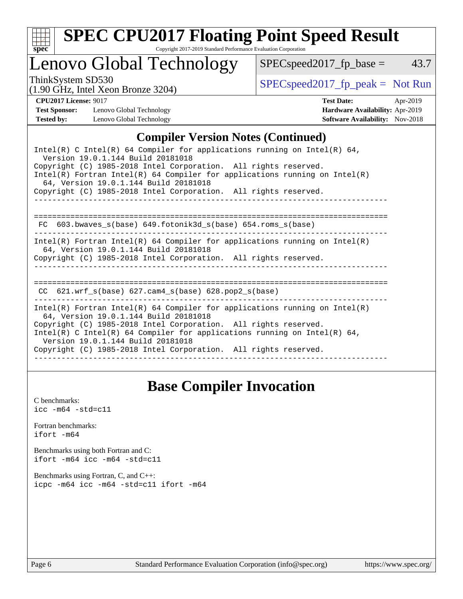

# **[SPEC CPU2017 Floating Point Speed Result](http://www.spec.org/auto/cpu2017/Docs/result-fields.html#SPECCPU2017FloatingPointSpeedResult)**

Copyright 2017-2019 Standard Performance Evaluation Corporation

# Lenovo Global Technology

 $SPEC speed2017_fp\_base = 43.7$ 

(1.90 GHz, Intel Xeon Bronze 3204)

ThinkSystem SD530<br>(1.00 GHz, Intel Yogn Bronze 3204) [SPECspeed2017\\_fp\\_peak =](http://www.spec.org/auto/cpu2017/Docs/result-fields.html#SPECspeed2017fppeak) Not Run

### **[CPU2017 License:](http://www.spec.org/auto/cpu2017/Docs/result-fields.html#CPU2017License)** 9017 **[Test Date:](http://www.spec.org/auto/cpu2017/Docs/result-fields.html#TestDate)** Apr-2019

**[Test Sponsor:](http://www.spec.org/auto/cpu2017/Docs/result-fields.html#TestSponsor)** Lenovo Global Technology **[Hardware Availability:](http://www.spec.org/auto/cpu2017/Docs/result-fields.html#HardwareAvailability)** Apr-2019 **[Tested by:](http://www.spec.org/auto/cpu2017/Docs/result-fields.html#Testedby)** Lenovo Global Technology **[Software Availability:](http://www.spec.org/auto/cpu2017/Docs/result-fields.html#SoftwareAvailability)** Nov-2018

### **[Compiler Version Notes \(Continued\)](http://www.spec.org/auto/cpu2017/Docs/result-fields.html#CompilerVersionNotes)**

| Intel(R) C Intel(R) 64 Compiler for applications running on Intel(R) 64,<br>Version 19.0.1.144 Build 20181018<br>Copyright (C) 1985-2018 Intel Corporation. All rights reserved.<br>$Intel(R)$ Fortran Intel(R) 64 Compiler for applications running on Intel(R)<br>64, Version 19.0.1.144 Build 20181018<br>Copyright (C) 1985-2018 Intel Corporation. All rights reserved. |
|------------------------------------------------------------------------------------------------------------------------------------------------------------------------------------------------------------------------------------------------------------------------------------------------------------------------------------------------------------------------------|
| FC $603.bwaves$ s(base) $649.fotonik3d$ s(base) $654.roms$ s(base)                                                                                                                                                                                                                                                                                                           |
| Intel(R) Fortran Intel(R) 64 Compiler for applications running on Intel(R)<br>64, Version 19.0.1.144 Build 20181018<br>Copyright (C) 1985-2018 Intel Corporation. All rights reserved.                                                                                                                                                                                       |
| ============================<br>CC $621.$ wrf $s(base)$ $627.$ cam4 $s(base)$ $628.$ pop2 $s(base)$                                                                                                                                                                                                                                                                          |
| Intel(R) Fortran Intel(R) 64 Compiler for applications running on Intel(R)<br>64, Version 19.0.1.144 Build 20181018<br>Copyright (C) 1985-2018 Intel Corporation. All rights reserved.<br>Intel(R) C Intel(R) 64 Compiler for applications running on Intel(R) 64,<br>Version 19.0.1.144 Build 20181018<br>Copyright (C) 1985-2018 Intel Corporation. All rights reserved.   |

# **[Base Compiler Invocation](http://www.spec.org/auto/cpu2017/Docs/result-fields.html#BaseCompilerInvocation)**

[C benchmarks](http://www.spec.org/auto/cpu2017/Docs/result-fields.html#Cbenchmarks):  $\text{icc}$  -m64 -std=c11 [Fortran benchmarks](http://www.spec.org/auto/cpu2017/Docs/result-fields.html#Fortranbenchmarks): [ifort -m64](http://www.spec.org/cpu2017/results/res2019q2/cpu2017-20190527-14809.flags.html#user_FCbase_intel_ifort_64bit_24f2bb282fbaeffd6157abe4f878425411749daecae9a33200eee2bee2fe76f3b89351d69a8130dd5949958ce389cf37ff59a95e7a40d588e8d3a57e0c3fd751) [Benchmarks using both Fortran and C](http://www.spec.org/auto/cpu2017/Docs/result-fields.html#BenchmarksusingbothFortranandC): [ifort -m64](http://www.spec.org/cpu2017/results/res2019q2/cpu2017-20190527-14809.flags.html#user_CC_FCbase_intel_ifort_64bit_24f2bb282fbaeffd6157abe4f878425411749daecae9a33200eee2bee2fe76f3b89351d69a8130dd5949958ce389cf37ff59a95e7a40d588e8d3a57e0c3fd751) [icc -m64 -std=c11](http://www.spec.org/cpu2017/results/res2019q2/cpu2017-20190527-14809.flags.html#user_CC_FCbase_intel_icc_64bit_c11_33ee0cdaae7deeeab2a9725423ba97205ce30f63b9926c2519791662299b76a0318f32ddfffdc46587804de3178b4f9328c46fa7c2b0cd779d7a61945c91cd35) [Benchmarks using Fortran, C, and C++:](http://www.spec.org/auto/cpu2017/Docs/result-fields.html#BenchmarksusingFortranCandCXX) [icpc -m64](http://www.spec.org/cpu2017/results/res2019q2/cpu2017-20190527-14809.flags.html#user_CC_CXX_FCbase_intel_icpc_64bit_4ecb2543ae3f1412ef961e0650ca070fec7b7afdcd6ed48761b84423119d1bf6bdf5cad15b44d48e7256388bc77273b966e5eb805aefd121eb22e9299b2ec9d9) [icc -m64 -std=c11](http://www.spec.org/cpu2017/results/res2019q2/cpu2017-20190527-14809.flags.html#user_CC_CXX_FCbase_intel_icc_64bit_c11_33ee0cdaae7deeeab2a9725423ba97205ce30f63b9926c2519791662299b76a0318f32ddfffdc46587804de3178b4f9328c46fa7c2b0cd779d7a61945c91cd35) [ifort -m64](http://www.spec.org/cpu2017/results/res2019q2/cpu2017-20190527-14809.flags.html#user_CC_CXX_FCbase_intel_ifort_64bit_24f2bb282fbaeffd6157abe4f878425411749daecae9a33200eee2bee2fe76f3b89351d69a8130dd5949958ce389cf37ff59a95e7a40d588e8d3a57e0c3fd751)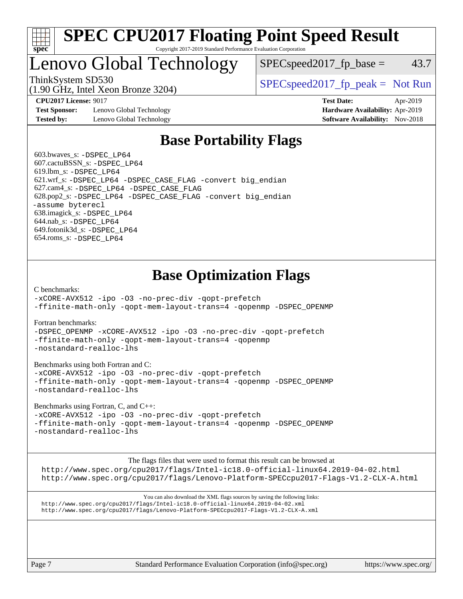

#### **[SPEC CPU2017 Floating Point Speed Result](http://www.spec.org/auto/cpu2017/Docs/result-fields.html#SPECCPU2017FloatingPointSpeedResult)** Copyright 2017-2019 Standard Performance Evaluation Corporation

# Lenovo Global Technology

(1.90 GHz, Intel Xeon Bronze 3204)

ThinkSystem SD530  $SPEC speed2017$  [p\_peak = Not Run

 $SPEC speed2017_fp\_base = 43.7$ 

**[Test Sponsor:](http://www.spec.org/auto/cpu2017/Docs/result-fields.html#TestSponsor)** Lenovo Global Technology **[Hardware Availability:](http://www.spec.org/auto/cpu2017/Docs/result-fields.html#HardwareAvailability)** Apr-2019 **[Tested by:](http://www.spec.org/auto/cpu2017/Docs/result-fields.html#Testedby)** Lenovo Global Technology **[Software Availability:](http://www.spec.org/auto/cpu2017/Docs/result-fields.html#SoftwareAvailability)** Nov-2018

**[CPU2017 License:](http://www.spec.org/auto/cpu2017/Docs/result-fields.html#CPU2017License)** 9017 **[Test Date:](http://www.spec.org/auto/cpu2017/Docs/result-fields.html#TestDate)** Apr-2019

# **[Base Portability Flags](http://www.spec.org/auto/cpu2017/Docs/result-fields.html#BasePortabilityFlags)**

 603.bwaves\_s: [-DSPEC\\_LP64](http://www.spec.org/cpu2017/results/res2019q2/cpu2017-20190527-14809.flags.html#suite_basePORTABILITY603_bwaves_s_DSPEC_LP64) 607.cactuBSSN\_s: [-DSPEC\\_LP64](http://www.spec.org/cpu2017/results/res2019q2/cpu2017-20190527-14809.flags.html#suite_basePORTABILITY607_cactuBSSN_s_DSPEC_LP64) 619.lbm\_s: [-DSPEC\\_LP64](http://www.spec.org/cpu2017/results/res2019q2/cpu2017-20190527-14809.flags.html#suite_basePORTABILITY619_lbm_s_DSPEC_LP64) 621.wrf\_s: [-DSPEC\\_LP64](http://www.spec.org/cpu2017/results/res2019q2/cpu2017-20190527-14809.flags.html#suite_basePORTABILITY621_wrf_s_DSPEC_LP64) [-DSPEC\\_CASE\\_FLAG](http://www.spec.org/cpu2017/results/res2019q2/cpu2017-20190527-14809.flags.html#b621.wrf_s_baseCPORTABILITY_DSPEC_CASE_FLAG) [-convert big\\_endian](http://www.spec.org/cpu2017/results/res2019q2/cpu2017-20190527-14809.flags.html#user_baseFPORTABILITY621_wrf_s_convert_big_endian_c3194028bc08c63ac5d04de18c48ce6d347e4e562e8892b8bdbdc0214820426deb8554edfa529a3fb25a586e65a3d812c835984020483e7e73212c4d31a38223) 627.cam4\_s: [-DSPEC\\_LP64](http://www.spec.org/cpu2017/results/res2019q2/cpu2017-20190527-14809.flags.html#suite_basePORTABILITY627_cam4_s_DSPEC_LP64) [-DSPEC\\_CASE\\_FLAG](http://www.spec.org/cpu2017/results/res2019q2/cpu2017-20190527-14809.flags.html#b627.cam4_s_baseCPORTABILITY_DSPEC_CASE_FLAG) 628.pop2\_s: [-DSPEC\\_LP64](http://www.spec.org/cpu2017/results/res2019q2/cpu2017-20190527-14809.flags.html#suite_basePORTABILITY628_pop2_s_DSPEC_LP64) [-DSPEC\\_CASE\\_FLAG](http://www.spec.org/cpu2017/results/res2019q2/cpu2017-20190527-14809.flags.html#b628.pop2_s_baseCPORTABILITY_DSPEC_CASE_FLAG) [-convert big\\_endian](http://www.spec.org/cpu2017/results/res2019q2/cpu2017-20190527-14809.flags.html#user_baseFPORTABILITY628_pop2_s_convert_big_endian_c3194028bc08c63ac5d04de18c48ce6d347e4e562e8892b8bdbdc0214820426deb8554edfa529a3fb25a586e65a3d812c835984020483e7e73212c4d31a38223) [-assume byterecl](http://www.spec.org/cpu2017/results/res2019q2/cpu2017-20190527-14809.flags.html#user_baseFPORTABILITY628_pop2_s_assume_byterecl_7e47d18b9513cf18525430bbf0f2177aa9bf368bc7a059c09b2c06a34b53bd3447c950d3f8d6c70e3faf3a05c8557d66a5798b567902e8849adc142926523472) 638.imagick\_s: [-DSPEC\\_LP64](http://www.spec.org/cpu2017/results/res2019q2/cpu2017-20190527-14809.flags.html#suite_basePORTABILITY638_imagick_s_DSPEC_LP64) 644.nab\_s: [-DSPEC\\_LP64](http://www.spec.org/cpu2017/results/res2019q2/cpu2017-20190527-14809.flags.html#suite_basePORTABILITY644_nab_s_DSPEC_LP64) 649.fotonik3d\_s: [-DSPEC\\_LP64](http://www.spec.org/cpu2017/results/res2019q2/cpu2017-20190527-14809.flags.html#suite_basePORTABILITY649_fotonik3d_s_DSPEC_LP64) 654.roms\_s: [-DSPEC\\_LP64](http://www.spec.org/cpu2017/results/res2019q2/cpu2017-20190527-14809.flags.html#suite_basePORTABILITY654_roms_s_DSPEC_LP64)

# **[Base Optimization Flags](http://www.spec.org/auto/cpu2017/Docs/result-fields.html#BaseOptimizationFlags)**

[C benchmarks](http://www.spec.org/auto/cpu2017/Docs/result-fields.html#Cbenchmarks):

[-xCORE-AVX512](http://www.spec.org/cpu2017/results/res2019q2/cpu2017-20190527-14809.flags.html#user_CCbase_f-xCORE-AVX512) [-ipo](http://www.spec.org/cpu2017/results/res2019q2/cpu2017-20190527-14809.flags.html#user_CCbase_f-ipo) [-O3](http://www.spec.org/cpu2017/results/res2019q2/cpu2017-20190527-14809.flags.html#user_CCbase_f-O3) [-no-prec-div](http://www.spec.org/cpu2017/results/res2019q2/cpu2017-20190527-14809.flags.html#user_CCbase_f-no-prec-div) [-qopt-prefetch](http://www.spec.org/cpu2017/results/res2019q2/cpu2017-20190527-14809.flags.html#user_CCbase_f-qopt-prefetch) [-ffinite-math-only](http://www.spec.org/cpu2017/results/res2019q2/cpu2017-20190527-14809.flags.html#user_CCbase_f_finite_math_only_cb91587bd2077682c4b38af759c288ed7c732db004271a9512da14a4f8007909a5f1427ecbf1a0fb78ff2a814402c6114ac565ca162485bbcae155b5e4258871) [-qopt-mem-layout-trans=4](http://www.spec.org/cpu2017/results/res2019q2/cpu2017-20190527-14809.flags.html#user_CCbase_f-qopt-mem-layout-trans_fa39e755916c150a61361b7846f310bcdf6f04e385ef281cadf3647acec3f0ae266d1a1d22d972a7087a248fd4e6ca390a3634700869573d231a252c784941a8) [-qopenmp](http://www.spec.org/cpu2017/results/res2019q2/cpu2017-20190527-14809.flags.html#user_CCbase_qopenmp_16be0c44f24f464004c6784a7acb94aca937f053568ce72f94b139a11c7c168634a55f6653758ddd83bcf7b8463e8028bb0b48b77bcddc6b78d5d95bb1df2967) [-DSPEC\\_OPENMP](http://www.spec.org/cpu2017/results/res2019q2/cpu2017-20190527-14809.flags.html#suite_CCbase_DSPEC_OPENMP)

[Fortran benchmarks](http://www.spec.org/auto/cpu2017/Docs/result-fields.html#Fortranbenchmarks):

[-DSPEC\\_OPENMP](http://www.spec.org/cpu2017/results/res2019q2/cpu2017-20190527-14809.flags.html#suite_FCbase_DSPEC_OPENMP) [-xCORE-AVX512](http://www.spec.org/cpu2017/results/res2019q2/cpu2017-20190527-14809.flags.html#user_FCbase_f-xCORE-AVX512) [-ipo](http://www.spec.org/cpu2017/results/res2019q2/cpu2017-20190527-14809.flags.html#user_FCbase_f-ipo) [-O3](http://www.spec.org/cpu2017/results/res2019q2/cpu2017-20190527-14809.flags.html#user_FCbase_f-O3) [-no-prec-div](http://www.spec.org/cpu2017/results/res2019q2/cpu2017-20190527-14809.flags.html#user_FCbase_f-no-prec-div) [-qopt-prefetch](http://www.spec.org/cpu2017/results/res2019q2/cpu2017-20190527-14809.flags.html#user_FCbase_f-qopt-prefetch) [-ffinite-math-only](http://www.spec.org/cpu2017/results/res2019q2/cpu2017-20190527-14809.flags.html#user_FCbase_f_finite_math_only_cb91587bd2077682c4b38af759c288ed7c732db004271a9512da14a4f8007909a5f1427ecbf1a0fb78ff2a814402c6114ac565ca162485bbcae155b5e4258871) [-qopt-mem-layout-trans=4](http://www.spec.org/cpu2017/results/res2019q2/cpu2017-20190527-14809.flags.html#user_FCbase_f-qopt-mem-layout-trans_fa39e755916c150a61361b7846f310bcdf6f04e385ef281cadf3647acec3f0ae266d1a1d22d972a7087a248fd4e6ca390a3634700869573d231a252c784941a8) [-qopenmp](http://www.spec.org/cpu2017/results/res2019q2/cpu2017-20190527-14809.flags.html#user_FCbase_qopenmp_16be0c44f24f464004c6784a7acb94aca937f053568ce72f94b139a11c7c168634a55f6653758ddd83bcf7b8463e8028bb0b48b77bcddc6b78d5d95bb1df2967) [-nostandard-realloc-lhs](http://www.spec.org/cpu2017/results/res2019q2/cpu2017-20190527-14809.flags.html#user_FCbase_f_2003_std_realloc_82b4557e90729c0f113870c07e44d33d6f5a304b4f63d4c15d2d0f1fab99f5daaed73bdb9275d9ae411527f28b936061aa8b9c8f2d63842963b95c9dd6426b8a)

[Benchmarks using both Fortran and C](http://www.spec.org/auto/cpu2017/Docs/result-fields.html#BenchmarksusingbothFortranandC):

[-xCORE-AVX512](http://www.spec.org/cpu2017/results/res2019q2/cpu2017-20190527-14809.flags.html#user_CC_FCbase_f-xCORE-AVX512) [-ipo](http://www.spec.org/cpu2017/results/res2019q2/cpu2017-20190527-14809.flags.html#user_CC_FCbase_f-ipo) [-O3](http://www.spec.org/cpu2017/results/res2019q2/cpu2017-20190527-14809.flags.html#user_CC_FCbase_f-O3) [-no-prec-div](http://www.spec.org/cpu2017/results/res2019q2/cpu2017-20190527-14809.flags.html#user_CC_FCbase_f-no-prec-div) [-qopt-prefetch](http://www.spec.org/cpu2017/results/res2019q2/cpu2017-20190527-14809.flags.html#user_CC_FCbase_f-qopt-prefetch) [-ffinite-math-only](http://www.spec.org/cpu2017/results/res2019q2/cpu2017-20190527-14809.flags.html#user_CC_FCbase_f_finite_math_only_cb91587bd2077682c4b38af759c288ed7c732db004271a9512da14a4f8007909a5f1427ecbf1a0fb78ff2a814402c6114ac565ca162485bbcae155b5e4258871) [-qopt-mem-layout-trans=4](http://www.spec.org/cpu2017/results/res2019q2/cpu2017-20190527-14809.flags.html#user_CC_FCbase_f-qopt-mem-layout-trans_fa39e755916c150a61361b7846f310bcdf6f04e385ef281cadf3647acec3f0ae266d1a1d22d972a7087a248fd4e6ca390a3634700869573d231a252c784941a8) [-qopenmp](http://www.spec.org/cpu2017/results/res2019q2/cpu2017-20190527-14809.flags.html#user_CC_FCbase_qopenmp_16be0c44f24f464004c6784a7acb94aca937f053568ce72f94b139a11c7c168634a55f6653758ddd83bcf7b8463e8028bb0b48b77bcddc6b78d5d95bb1df2967) [-DSPEC\\_OPENMP](http://www.spec.org/cpu2017/results/res2019q2/cpu2017-20190527-14809.flags.html#suite_CC_FCbase_DSPEC_OPENMP) [-nostandard-realloc-lhs](http://www.spec.org/cpu2017/results/res2019q2/cpu2017-20190527-14809.flags.html#user_CC_FCbase_f_2003_std_realloc_82b4557e90729c0f113870c07e44d33d6f5a304b4f63d4c15d2d0f1fab99f5daaed73bdb9275d9ae411527f28b936061aa8b9c8f2d63842963b95c9dd6426b8a)

[Benchmarks using Fortran, C, and C++:](http://www.spec.org/auto/cpu2017/Docs/result-fields.html#BenchmarksusingFortranCandCXX)

[-xCORE-AVX512](http://www.spec.org/cpu2017/results/res2019q2/cpu2017-20190527-14809.flags.html#user_CC_CXX_FCbase_f-xCORE-AVX512) [-ipo](http://www.spec.org/cpu2017/results/res2019q2/cpu2017-20190527-14809.flags.html#user_CC_CXX_FCbase_f-ipo) [-O3](http://www.spec.org/cpu2017/results/res2019q2/cpu2017-20190527-14809.flags.html#user_CC_CXX_FCbase_f-O3) [-no-prec-div](http://www.spec.org/cpu2017/results/res2019q2/cpu2017-20190527-14809.flags.html#user_CC_CXX_FCbase_f-no-prec-div) [-qopt-prefetch](http://www.spec.org/cpu2017/results/res2019q2/cpu2017-20190527-14809.flags.html#user_CC_CXX_FCbase_f-qopt-prefetch) [-ffinite-math-only](http://www.spec.org/cpu2017/results/res2019q2/cpu2017-20190527-14809.flags.html#user_CC_CXX_FCbase_f_finite_math_only_cb91587bd2077682c4b38af759c288ed7c732db004271a9512da14a4f8007909a5f1427ecbf1a0fb78ff2a814402c6114ac565ca162485bbcae155b5e4258871) [-qopt-mem-layout-trans=4](http://www.spec.org/cpu2017/results/res2019q2/cpu2017-20190527-14809.flags.html#user_CC_CXX_FCbase_f-qopt-mem-layout-trans_fa39e755916c150a61361b7846f310bcdf6f04e385ef281cadf3647acec3f0ae266d1a1d22d972a7087a248fd4e6ca390a3634700869573d231a252c784941a8) [-qopenmp](http://www.spec.org/cpu2017/results/res2019q2/cpu2017-20190527-14809.flags.html#user_CC_CXX_FCbase_qopenmp_16be0c44f24f464004c6784a7acb94aca937f053568ce72f94b139a11c7c168634a55f6653758ddd83bcf7b8463e8028bb0b48b77bcddc6b78d5d95bb1df2967) [-DSPEC\\_OPENMP](http://www.spec.org/cpu2017/results/res2019q2/cpu2017-20190527-14809.flags.html#suite_CC_CXX_FCbase_DSPEC_OPENMP) [-nostandard-realloc-lhs](http://www.spec.org/cpu2017/results/res2019q2/cpu2017-20190527-14809.flags.html#user_CC_CXX_FCbase_f_2003_std_realloc_82b4557e90729c0f113870c07e44d33d6f5a304b4f63d4c15d2d0f1fab99f5daaed73bdb9275d9ae411527f28b936061aa8b9c8f2d63842963b95c9dd6426b8a)

The flags files that were used to format this result can be browsed at

<http://www.spec.org/cpu2017/flags/Intel-ic18.0-official-linux64.2019-04-02.html> <http://www.spec.org/cpu2017/flags/Lenovo-Platform-SPECcpu2017-Flags-V1.2-CLX-A.html>

You can also download the XML flags sources by saving the following links: <http://www.spec.org/cpu2017/flags/Intel-ic18.0-official-linux64.2019-04-02.xml> <http://www.spec.org/cpu2017/flags/Lenovo-Platform-SPECcpu2017-Flags-V1.2-CLX-A.xml>